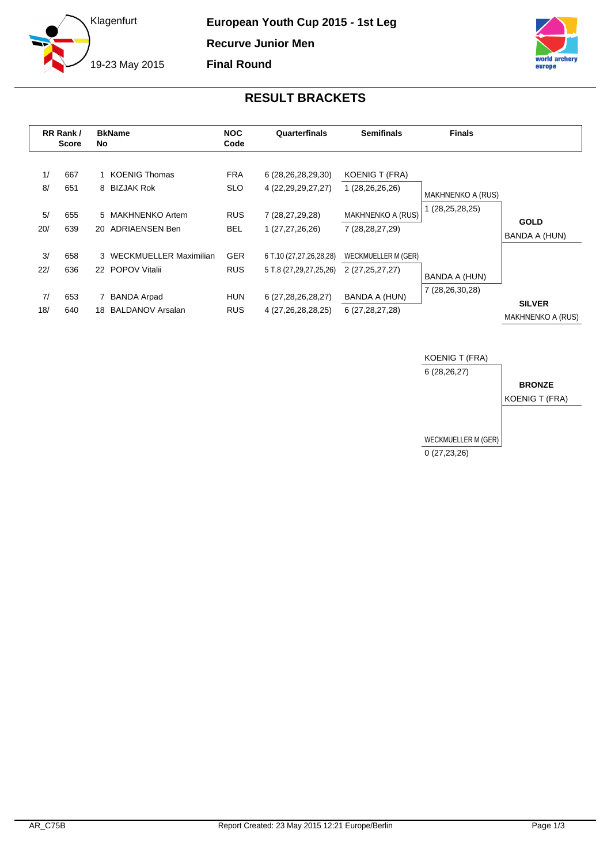



## **RESULT BRACKETS**

|           | RR Rank /<br><b>Score</b> | No | <b>BkName</b>                                 | <b>NOC</b><br>Code       | Quarterfinals                                     | <b>Semifinals</b>                              | <b>Finals</b>            |                                           |
|-----------|---------------------------|----|-----------------------------------------------|--------------------------|---------------------------------------------------|------------------------------------------------|--------------------------|-------------------------------------------|
| 1/<br>8/  | 667<br>651                |    | 1 KOENIG Thomas<br>8 BIZJAK Rok               | <b>FRA</b><br><b>SLO</b> | 6 (28,26,28,29,30)<br>4 (22, 29, 29, 27, 27)      | <b>KOENIG T (FRA)</b><br>1 (28,26,26,26)       | <b>MAKHNENKO A (RUS)</b> |                                           |
| 5/<br>20/ | 655<br>639                |    | 5 MAKHNENKO Artem<br>20 ADRIAENSEN Ben        | <b>RUS</b><br><b>BEL</b> | 7 (28,27,29,28)<br>1 (27,27,26,26)                | <b>MAKHNENKO A (RUS)</b><br>7 (28, 28, 27, 29) | 1 (28,25,28,25)          | <b>GOLD</b><br>BANDA A (HUN)              |
| 3/<br>22/ | 658<br>636                |    | 3 WECKMUELLER Maximilian<br>22 POPOV Vitalii  | <b>GER</b><br><b>RUS</b> | 6 T.10 (27,27,26,28,28)<br>5 T.8 (27,29,27,25,26) | WECKMUELLER M (GER)<br>2 (27,25,27,27)         | BANDA A (HUN)            |                                           |
| 7/<br>18/ | 653<br>640                | 18 | <b>BANDA Arpad</b><br><b>BALDANOV Arsalan</b> | <b>HUN</b><br><b>RUS</b> | 6 (27,28,26,28,27)<br>4 (27,26,28,28,25)          | BANDA A (HUN)<br>6 (27, 28, 27, 28)            | 7 (28,26,30,28)          | <b>SILVER</b><br><b>MAKHNENKO A (RUS)</b> |

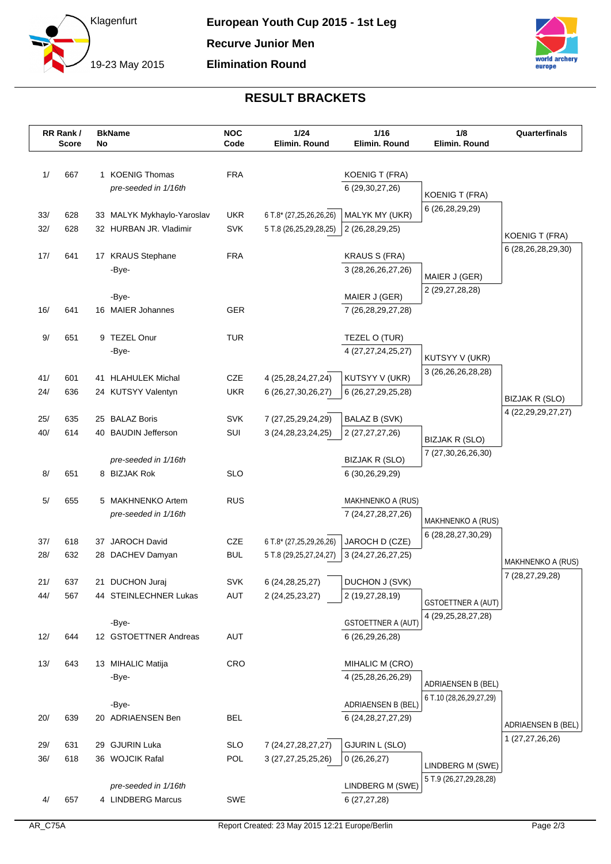



## **RESULT BRACKETS**

|            | RR Rank /<br><b>Score</b> | No | <b>BkName</b>                            | <b>NOC</b><br>Code       | 1/24<br>Elimin. Round                    | $1/16$<br>Elimin. Round           | 1/8<br>Elimin. Round                     | Quarterfinals                         |
|------------|---------------------------|----|------------------------------------------|--------------------------|------------------------------------------|-----------------------------------|------------------------------------------|---------------------------------------|
|            |                           |    |                                          |                          |                                          |                                   |                                          |                                       |
| 1/         | 667                       |    | 1 KOENIG Thomas                          | <b>FRA</b>               |                                          | <b>KOENIG T (FRA)</b>             |                                          |                                       |
|            |                           |    | pre-seeded in 1/16th                     |                          |                                          | 6 (29, 30, 27, 26)                | <b>KOENIG T (FRA)</b>                    |                                       |
|            |                           |    |                                          |                          |                                          |                                   | 6 (26,28,29,29)                          |                                       |
| 33/        | 628                       |    | 33 MALYK Mykhaylo-Yaroslav               | <b>UKR</b>               | 6 T.8* (27,25,26,26,26)                  | MALYK MY (UKR)                    |                                          |                                       |
| 32/        | 628                       |    | 32 HURBAN JR. Vladimir                   | <b>SVK</b>               | 5 T.8 (26,25,29,28,25)                   | 2 (26,28,29,25)                   |                                          | <b>KOENIG T (FRA)</b>                 |
| 17/        | 641                       |    | 17 KRAUS Stephane                        | <b>FRA</b>               |                                          | <b>KRAUS S (FRA)</b>              |                                          | 6 (28,26,28,29,30)                    |
|            |                           |    | -Bye-                                    |                          |                                          | 3 (28, 26, 26, 27, 26)            | MAIER J (GER)                            |                                       |
|            |                           |    |                                          |                          |                                          |                                   | 2 (29,27,28,28)                          |                                       |
|            |                           |    | -Bye-                                    |                          |                                          | MAIER J (GER)                     |                                          |                                       |
| 16/        | 641                       |    | 16 MAIER Johannes                        | <b>GER</b>               |                                          | 7 (26, 28, 29, 27, 28)            |                                          |                                       |
| $9/$       | 651                       |    | 9 TEZEL Onur                             | <b>TUR</b>               |                                          | TEZEL O (TUR)                     |                                          |                                       |
|            |                           |    | -Bye-                                    |                          |                                          | 4 (27, 27, 24, 25, 27)            |                                          |                                       |
|            |                           |    |                                          |                          |                                          |                                   | KUTSYY V (UKR)<br>3 (26, 26, 26, 28, 28) |                                       |
| 41/        | 601                       |    | 41 HLAHULEK Michal                       | <b>CZE</b>               | 4 (25,28,24,27,24)                       | KUTSYY V (UKR)                    |                                          |                                       |
| 24/        | 636                       |    | 24 KUTSYY Valentyn                       | <b>UKR</b>               | 6 (26,27,30,26,27)                       | 6 (26,27,29,25,28)                |                                          | BIZJAK R (SLO)                        |
| 25/        | 635                       |    | 25 BALAZ Boris                           | <b>SVK</b>               | 7 (27,25,29,24,29)                       | <b>BALAZ B (SVK)</b>              |                                          | 4 (22, 29, 29, 27, 27)                |
| 40/        | 614                       |    | 40 BAUDIN Jefferson                      | SUI                      | 3 (24, 28, 23, 24, 25)                   | 2 (27,27,27,26)                   |                                          |                                       |
|            |                           |    |                                          |                          |                                          |                                   | BIZJAK R (SLO)                           |                                       |
|            |                           |    | pre-seeded in 1/16th                     |                          |                                          | <b>BIZJAK R (SLO)</b>             | 7 (27,30,26,26,30)                       |                                       |
| 8/         | 651                       |    | 8 BIZJAK Rok                             | <b>SLO</b>               |                                          | 6 (30,26,29,29)                   |                                          |                                       |
| 5/         | 655                       |    | 5 MAKHNENKO Artem                        | <b>RUS</b>               |                                          | MAKHNENKO A (RUS)                 |                                          |                                       |
|            |                           |    | pre-seeded in 1/16th                     |                          |                                          | 7 (24, 27, 28, 27, 26)            |                                          |                                       |
|            |                           |    |                                          |                          |                                          |                                   | <b>MAKHNENKO A (RUS)</b>                 |                                       |
| 37/        | 618                       |    | 37 JAROCH David                          | CZE                      | 6 T.8* (27,25,29,26,26)                  | JAROCH D (CZE)                    | 6 (28, 28, 27, 30, 29)                   |                                       |
| 28/        | 632                       |    | 28 DACHEV Damyan                         | <b>BUL</b>               | 5 T.8 (29,25,27,24,27)                   | 3 (24, 27, 26, 27, 25)            |                                          | MAKHNENKO A (RUS)                     |
|            |                           |    |                                          |                          |                                          |                                   |                                          | 7 (28,27,29,28)                       |
| 21/<br>44/ | 637<br>567                |    | 21 DUCHON Juraj<br>44 STEINLECHNER Lukas | <b>SVK</b><br><b>AUT</b> | 6 (24, 28, 25, 27)<br>2 (24, 25, 23, 27) | DUCHON J (SVK)<br>2 (19,27,28,19) |                                          |                                       |
|            |                           |    |                                          |                          |                                          |                                   | <b>GSTOETTNER A (AUT)</b>                |                                       |
|            |                           |    | -Bye-                                    |                          |                                          | <b>GSTOETTNER A (AUT)</b>         | 4 (29, 25, 28, 27, 28)                   |                                       |
| 12/        | 644                       |    | 12 GSTOETTNER Andreas                    | <b>AUT</b>               |                                          | 6 (26,29,26,28)                   |                                          |                                       |
|            |                           |    |                                          |                          |                                          |                                   |                                          |                                       |
| 13/        | 643                       |    | 13 MIHALIC Matija                        | <b>CRO</b>               |                                          | MIHALIC M (CRO)                   |                                          |                                       |
|            |                           |    | -Bye-                                    |                          |                                          | 4 (25,28,26,26,29)                | <b>ADRIAENSEN B (BEL)</b>                |                                       |
|            |                           |    | -Bye-                                    |                          |                                          | ADRIAENSEN B (BEL)                | 6 T.10 (28,26,29,27,29)                  |                                       |
| 20/        | 639                       |    | 20 ADRIAENSEN Ben                        | <b>BEL</b>               |                                          | 6 (24, 28, 27, 27, 29)            |                                          |                                       |
|            |                           |    |                                          |                          |                                          |                                   |                                          | ADRIAENSEN B (BEL)<br>1 (27,27,26,26) |
| 29/        | 631                       |    | 29 GJURIN Luka                           | <b>SLO</b>               | 7 (24, 27, 28, 27, 27)                   | <b>GJURIN L (SLO)</b>             |                                          |                                       |
| 36/        | 618                       |    | 36 WOJCIK Rafal                          | POL                      | 3 (27,27,25,25,26)                       | 0(26,26,27)                       | LINDBERG M (SWE)                         |                                       |
|            |                           |    | pre-seeded in 1/16th                     |                          |                                          | LINDBERG M (SWE)                  | 5 T.9 (26,27,29,28,28)                   |                                       |
| 4/         | 657                       |    | 4 LINDBERG Marcus                        | SWE                      |                                          | 6(27, 27, 28)                     |                                          |                                       |
|            |                           |    |                                          |                          |                                          |                                   |                                          |                                       |